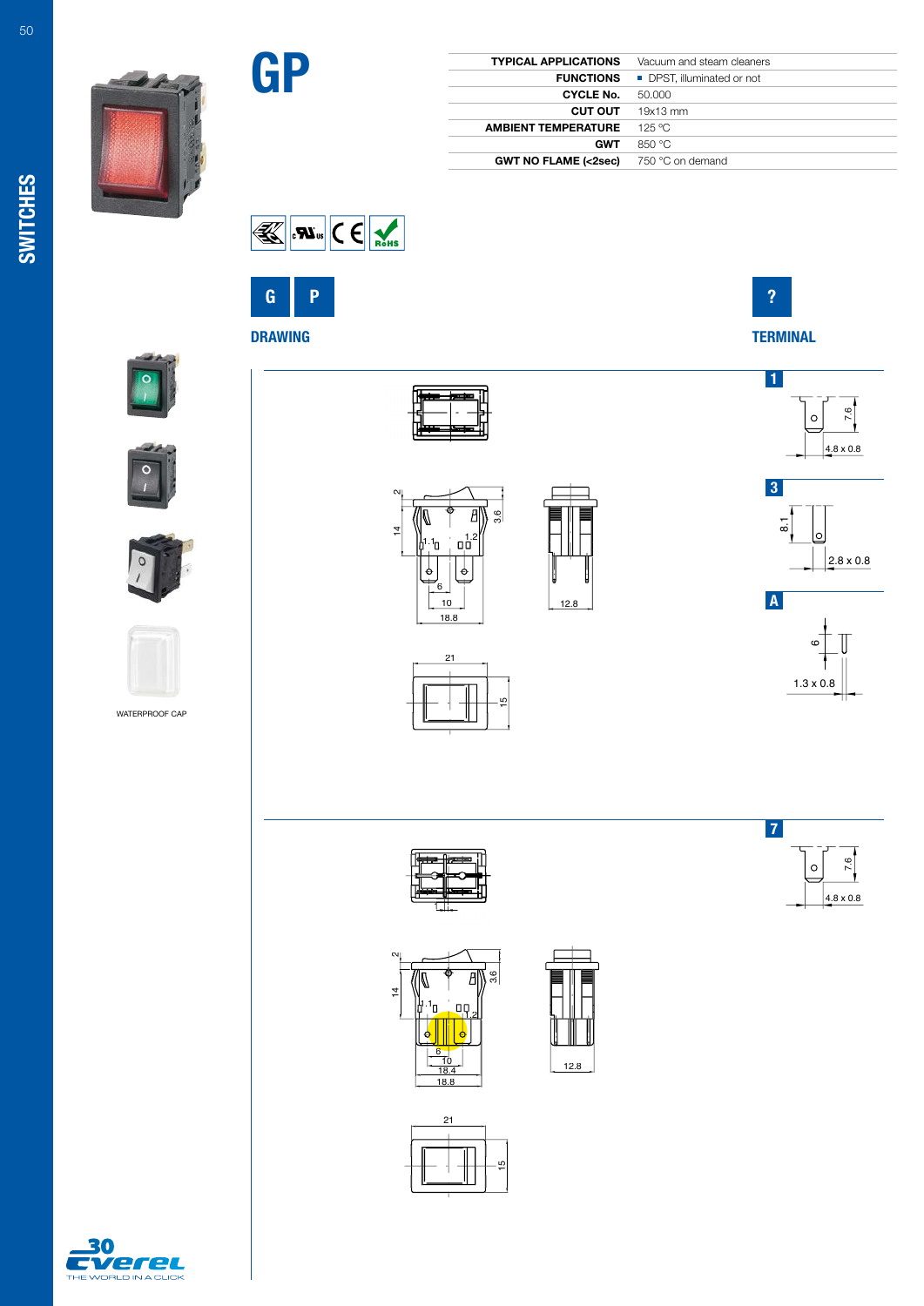| <b>TYPICAL APPLICATIONS</b>                     | Vacuum and steam cleaners |
|-------------------------------------------------|---------------------------|
| <b>FUNCTIONS</b>                                | DPST, illuminated or not  |
| <b>CYCLE No.</b>                                | 50,000                    |
| <b>CUT OUT</b>                                  | 19x13 mm                  |
| <b>AMBIENT TEMPERATURE</b>                      | 125 °C                    |
| <b>GWT</b>                                      | 850 °C                    |
| <b>GWT NO FLAME (&lt;2sec)</b> 750 °C on demand |                           |





GP



1









WATERPROOF CAP



 $\sim$ 

 $\overline{4}$ 



21

15